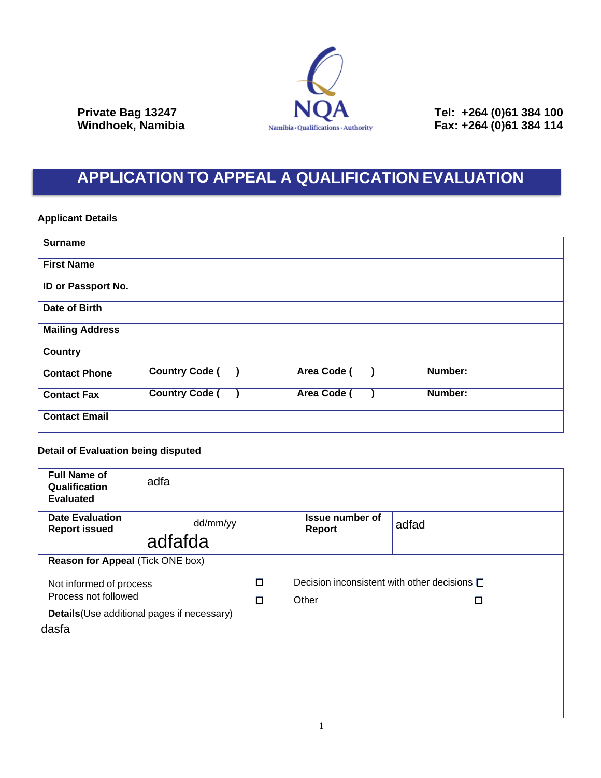

**Private Bag 13247 NUA** Tel: +264 (0)61 384 100 **Windhoek, Namibia Fax: +264 (0)61 384 114** 

## **APPLICATION TO APPEAL A QUALIFICATION EVALUATION**

## **Applicant Details**

| <b>Surname</b>         |                       |                    |         |
|------------------------|-----------------------|--------------------|---------|
| <b>First Name</b>      |                       |                    |         |
| ID or Passport No.     |                       |                    |         |
| Date of Birth          |                       |                    |         |
| <b>Mailing Address</b> |                       |                    |         |
| <b>Country</b>         |                       |                    |         |
| <b>Contact Phone</b>   | <b>Country Code (</b> | <b>Area Code (</b> | Number: |
| <b>Contact Fax</b>     | <b>Country Code (</b> | <b>Area Code (</b> | Number: |
| <b>Contact Email</b>   |                       |                    |         |

## **Detail of Evaluation being disputed**

| <b>Full Name of</b><br>Qualification<br><b>Evaluated</b> | adfa                |   |                                                   |       |  |  |  |
|----------------------------------------------------------|---------------------|---|---------------------------------------------------|-------|--|--|--|
| <b>Date Evaluation</b><br><b>Report issued</b>           | dd/mm/yy<br>adfafda |   | <b>Issue number of</b><br>Report                  | adfad |  |  |  |
| <b>Reason for Appeal (Tick ONE box)</b>                  |                     |   |                                                   |       |  |  |  |
| Not informed of process<br>Process not followed          |                     | □ | Decision inconsistent with other decisions $\Box$ |       |  |  |  |
|                                                          |                     | П | Other                                             | □     |  |  |  |
| Details (Use additional pages if necessary)              |                     |   |                                                   |       |  |  |  |
| dasfa                                                    |                     |   |                                                   |       |  |  |  |
|                                                          |                     |   |                                                   |       |  |  |  |
|                                                          |                     |   |                                                   |       |  |  |  |
|                                                          |                     |   |                                                   |       |  |  |  |
|                                                          |                     |   |                                                   |       |  |  |  |